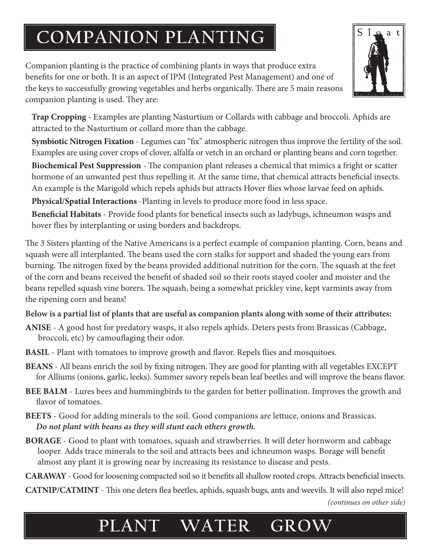## **COMPANION PLANTING**

Companion planting is the practice of combining plants in ways that produce extra benefits for one or both. It is an aspect of IPM (Integrated Pest Management) and one of the keys to successfully growing vegetables and herbs organically. There are 5 main reasons companion planting is used. They are:



 **Trap Cropping** - Examples are planting Nasturtium or Collards with cabbage and broccoli. Aphids are attracted to the Nasturtium or collard more than the cabbage.

 **Symbiotic Nitrogen Fixation** - Legumes can "fix" atmospheric nitrogen thus improve the fertility of the soil. Examples are using cover crops of clover, alfalfa or vetch in an orchard or planting beans and corn together.  **Biochemical Pest Suppression** - The companion plant releases a chemical that mimics a fright or scatter hormone of an unwanted pest thus repelling it. At the same time, that chemical attracts beneficial insects. An example is the Marigold which repels aphids but attracts Hover flies whose larvae feed on aphids.

 **Physical/Spatial Interactions** -Planting in levels to produce more food in less space.

 **Beneficial Habitats** - Provide food plants for benefical insects such as ladybugs, ichneumon wasps and hover flies by interplanting or using borders and backdrops.

The 3 Sisters planting of the Native Americans is a perfect example of companion planting. Corn, beans and squash were all interplanted. The beans used the corn stalks for support and shaded the young ears from burning. The nitrogen fixed by the beans provided additional nutrition for the corn. The squash at the feet of the corn and beans received the benefit of shaded soil so their roots stayed cooler and moister and the beans repelled squash vine borers. The squash, being a somewhat prickley vine, kept varmints away from the ripening corn and beans!

## **Below is a partial list of plants that are useful as companion plants along with some of their attributes:**

- **ANISE** A good host for predatory wasps, it also repels aphids. Deters pests from Brassicas (Cabbage, broccoli, etc) by camouflaging their odor.
- **BASIL** Plant with tomatoes to improve growth and flavor. Repels flies and mosquitoes.
- **BEANS** All beans enrich the soil by fixing nitrogen. They are good for planting with all vegetables EXCEPT for Alliums (onions, garlic, leeks). Summer savory repels bean leaf beetles and will improve the beans flavor.
- **BEE BALM** Lures bees and hummingbirds to the garden for better pollination. Improves the growth and flavor of tomatoes.
- **BEETS** Good for adding minerals to the soil. Good companions are lettuce, onions and Brassicas. *Do not plant with beans as they will stunt each others growth.*
- **BORAGE** Good to plant with tomatoes, squash and strawberries. It will deter hornworm and cabbage looper. Adds trace minerals to the soil and attracts bees and ichneumon wasps. Borage will benefit almost any plant it is growing near by increasing its resistance to disease and pests.

**CARAWAY** - Good for loosening compacted soil so it benefits all shallow rooted crops. Attracts beneficial insects.

*(continues on other side)* **CATNIP/CATMINT** - This one deters flea beetles, aphids, squash bugs, ants and weevils. It will also repel mice!

## **PLANT WATER GROW**